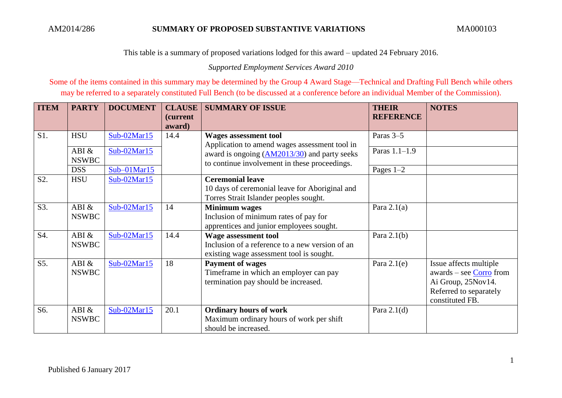This table is a summary of proposed variations lodged for this award – updated 24 February 2016.

*Supported Employment Services Award 2010*

Some of the items contained in this summary may be determined by the Group 4 Award Stage—Technical and Drafting Full Bench while others may be referred to a separately constituted Full Bench (to be discussed at a conference before an individual Member of the Commission).

| <b>ITEM</b> | <b>PARTY</b> | <b>DOCUMENT</b> | <b>CLAUSE</b> | <b>SUMMARY OF ISSUE</b>                                                                       | <b>THEIR</b>     | <b>NOTES</b>              |
|-------------|--------------|-----------------|---------------|-----------------------------------------------------------------------------------------------|------------------|---------------------------|
|             |              |                 | (current      |                                                                                               | <b>REFERENCE</b> |                           |
|             |              |                 | award)        |                                                                                               |                  |                           |
| S1.         | <b>HSU</b>   | $Sub-02Mar15$   | 14.4          | <b>Wages assessment tool</b>                                                                  | Paras 3–5        |                           |
|             | ABI &        | $Sub-02Mar15$   |               | Application to amend wages assessment tool in<br>award is ongoing (AM2013/30) and party seeks | Paras 1.1-1.9    |                           |
|             | <b>NSWBC</b> |                 |               | to continue involvement in these proceedings.                                                 |                  |                           |
|             | <b>DSS</b>   | $Sub-01Mar15$   |               |                                                                                               | Pages $1-2$      |                           |
| S2.         | <b>HSU</b>   | Sub-02Mar15     |               | <b>Ceremonial leave</b>                                                                       |                  |                           |
|             |              |                 |               | 10 days of ceremonial leave for Aboriginal and                                                |                  |                           |
|             |              |                 |               | Torres Strait Islander peoples sought.                                                        |                  |                           |
| S3.         | ABI &        | $Sub-02Mar15$   | 14            | <b>Minimum wages</b>                                                                          | Para $2.1(a)$    |                           |
|             | <b>NSWBC</b> |                 |               | Inclusion of minimum rates of pay for                                                         |                  |                           |
|             |              |                 |               | apprentices and junior employees sought.                                                      |                  |                           |
| S4.         | ABI &        | Sub-02Mar15     | 14.4          | <b>Wage assessment tool</b>                                                                   | Para $2.1(b)$    |                           |
|             | <b>NSWBC</b> |                 |               | Inclusion of a reference to a new version of an                                               |                  |                           |
|             |              |                 |               | existing wage assessment tool is sought.                                                      |                  |                           |
| S5.         | ABI $\&$     | Sub-02Mar15     | 18            | <b>Payment of wages</b>                                                                       | Para $2.1(e)$    | Issue affects multiple    |
|             | <b>NSWBC</b> |                 |               | Timeframe in which an employer can pay                                                        |                  | $awards - see Corro from$ |
|             |              |                 |               | termination pay should be increased.                                                          |                  | Ai Group, 25Nov14.        |
|             |              |                 |               |                                                                                               |                  | Referred to separately    |
|             |              |                 |               |                                                                                               |                  | constituted FB.           |
| S6.         | ABI &        | Sub-02Mar15     | 20.1          | <b>Ordinary hours of work</b>                                                                 | Para $2.1(d)$    |                           |
|             | <b>NSWBC</b> |                 |               | Maximum ordinary hours of work per shift                                                      |                  |                           |
|             |              |                 |               | should be increased.                                                                          |                  |                           |